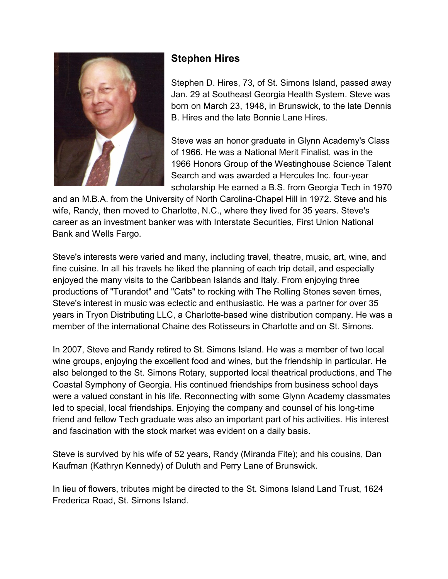

## Stephen Hires

Stephen D. Hires, 73, of St. Simons Island, passed away Jan. 29 at Southeast Georgia Health System. Steve was born on March 23, 1948, in Brunswick, to the late Dennis B. Hires and the late Bonnie Lane Hires.

Steve was an honor graduate in Glynn Academy's Class of 1966. He was a National Merit Finalist, was in the 1966 Honors Group of the Westinghouse Science Talent Search and was awarded a Hercules Inc. four-year scholarship He earned a B.S. from Georgia Tech in 1970

and an M.B.A. from the University of North Carolina-Chapel Hill in 1972. Steve and his wife, Randy, then moved to Charlotte, N.C., where they lived for 35 years. Steve's career as an investment banker was with Interstate Securities, First Union National Bank and Wells Fargo.

Steve's interests were varied and many, including travel, theatre, music, art, wine, and fine cuisine. In all his travels he liked the planning of each trip detail, and especially enjoyed the many visits to the Caribbean Islands and Italy. From enjoying three productions of "Turandot" and "Cats" to rocking with The Rolling Stones seven times, Steve's interest in music was eclectic and enthusiastic. He was a partner for over 35 years in Tryon Distributing LLC, a Charlotte-based wine distribution company. He was a member of the international Chaine des Rotisseurs in Charlotte and on St. Simons.

In 2007, Steve and Randy retired to St. Simons Island. He was a member of two local wine groups, enjoying the excellent food and wines, but the friendship in particular. He also belonged to the St. Simons Rotary, supported local theatrical productions, and The Coastal Symphony of Georgia. His continued friendships from business school days were a valued constant in his life. Reconnecting with some Glynn Academy classmates led to special, local friendships. Enjoying the company and counsel of his long-time friend and fellow Tech graduate was also an important part of his activities. His interest and fascination with the stock market was evident on a daily basis.

Steve is survived by his wife of 52 years, Randy (Miranda Fite); and his cousins, Dan Kaufman (Kathryn Kennedy) of Duluth and Perry Lane of Brunswick.

In lieu of flowers, tributes might be directed to the St. Simons Island Land Trust, 1624 Frederica Road, St. Simons Island.